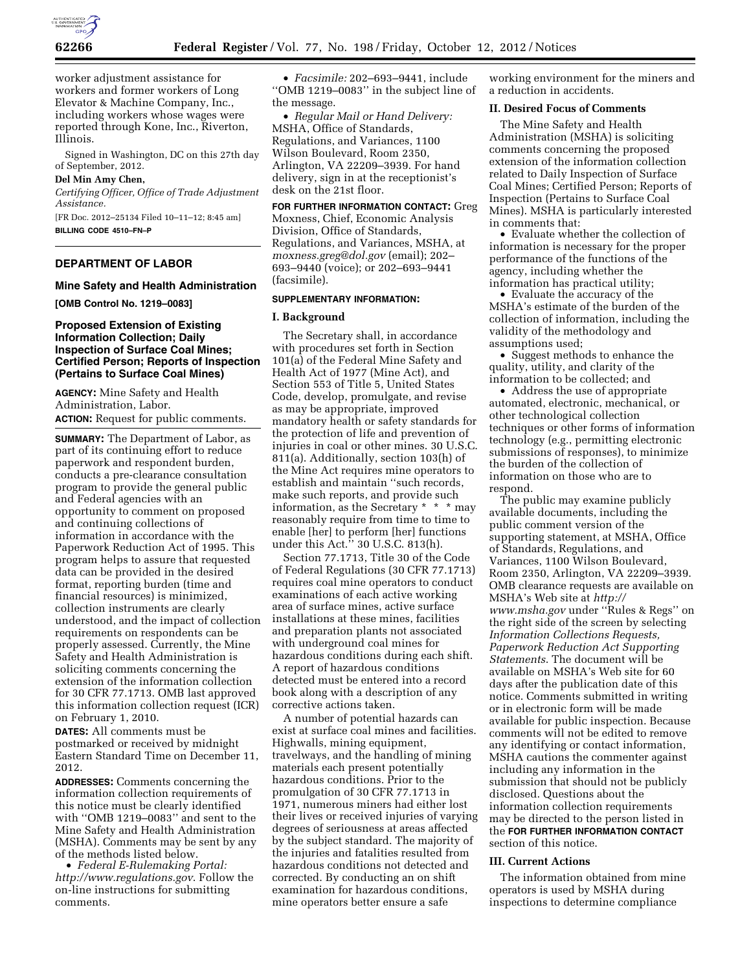

worker adjustment assistance for workers and former workers of Long Elevator & Machine Company, Inc., including workers whose wages were reported through Kone, Inc., Riverton, Illinois.

Signed in Washington, DC on this 27th day of September, 2012.

## **Del Min Amy Chen,**

*Certifying Officer, Office of Trade Adjustment Assistance.* 

[FR Doc. 2012–25134 Filed 10–11–12; 8:45 am] **BILLING CODE 4510–FN–P** 

# **DEPARTMENT OF LABOR**

### **Mine Safety and Health Administration**

**[OMB Control No. 1219–0083]** 

## **Proposed Extension of Existing Information Collection; Daily Inspection of Surface Coal Mines; Certified Person; Reports of Inspection (Pertains to Surface Coal Mines)**

**AGENCY:** Mine Safety and Health Administration, Labor. **ACTION:** Request for public comments.

**SUMMARY:** The Department of Labor, as part of its continuing effort to reduce paperwork and respondent burden, conducts a pre-clearance consultation program to provide the general public and Federal agencies with an opportunity to comment on proposed and continuing collections of information in accordance with the Paperwork Reduction Act of 1995. This program helps to assure that requested data can be provided in the desired format, reporting burden (time and financial resources) is minimized, collection instruments are clearly understood, and the impact of collection requirements on respondents can be properly assessed. Currently, the Mine Safety and Health Administration is soliciting comments concerning the extension of the information collection for 30 CFR 77.1713. OMB last approved this information collection request (ICR) on February 1, 2010.

**DATES:** All comments must be postmarked or received by midnight Eastern Standard Time on December 11, 2012.

**ADDRESSES:** Comments concerning the information collection requirements of this notice must be clearly identified with ''OMB 1219–0083'' and sent to the Mine Safety and Health Administration (MSHA). Comments may be sent by any of the methods listed below.

• *Federal E-Rulemaking Portal: <http://www.regulations.gov>*. Follow the on-line instructions for submitting comments.

• *Facsimile:* 202–693–9441, include ''OMB 1219–0083'' in the subject line of the message.

• *Regular Mail or Hand Delivery:*  MSHA, Office of Standards, Regulations, and Variances, 1100 Wilson Boulevard, Room 2350, Arlington, VA 22209–3939. For hand delivery, sign in at the receptionist's desk on the 21st floor.

**FOR FURTHER INFORMATION CONTACT:** Greg Moxness, Chief, Economic Analysis Division, Office of Standards, Regulations, and Variances, MSHA, at *[moxness.greg@dol.gov](mailto:moxness.greg@dol.gov)* (email); 202– 693–9440 (voice); or 202–693–9441 (facsimile).

## **SUPPLEMENTARY INFORMATION:**

### **I. Background**

The Secretary shall, in accordance with procedures set forth in Section 101(a) of the Federal Mine Safety and Health Act of 1977 (Mine Act), and Section 553 of Title 5, United States Code, develop, promulgate, and revise as may be appropriate, improved mandatory health or safety standards for the protection of life and prevention of injuries in coal or other mines. 30 U.S.C. 811(a). Additionally, section 103(h) of the Mine Act requires mine operators to establish and maintain ''such records, make such reports, and provide such information, as the Secretary \* \* \* may reasonably require from time to time to enable [her] to perform [her] functions under this Act.'' 30 U.S.C. 813(h).

Section 77.1713, Title 30 of the Code of Federal Regulations (30 CFR 77.1713) requires coal mine operators to conduct examinations of each active working area of surface mines, active surface installations at these mines, facilities and preparation plants not associated with underground coal mines for hazardous conditions during each shift. A report of hazardous conditions detected must be entered into a record book along with a description of any corrective actions taken.

A number of potential hazards can exist at surface coal mines and facilities. Highwalls, mining equipment, travelways, and the handling of mining materials each present potentially hazardous conditions. Prior to the promulgation of 30 CFR 77.1713 in 1971, numerous miners had either lost their lives or received injuries of varying degrees of seriousness at areas affected by the subject standard. The majority of the injuries and fatalities resulted from hazardous conditions not detected and corrected. By conducting an on shift examination for hazardous conditions, mine operators better ensure a safe

working environment for the miners and a reduction in accidents.

# **II. Desired Focus of Comments**

The Mine Safety and Health Administration (MSHA) is soliciting comments concerning the proposed extension of the information collection related to Daily Inspection of Surface Coal Mines; Certified Person; Reports of Inspection (Pertains to Surface Coal Mines). MSHA is particularly interested in comments that:

• Evaluate whether the collection of information is necessary for the proper performance of the functions of the agency, including whether the information has practical utility;

• Evaluate the accuracy of the MSHA's estimate of the burden of the collection of information, including the validity of the methodology and assumptions used;

• Suggest methods to enhance the quality, utility, and clarity of the information to be collected; and

• Address the use of appropriate automated, electronic, mechanical, or other technological collection techniques or other forms of information technology (e.g., permitting electronic submissions of responses), to minimize the burden of the collection of information on those who are to respond.

The public may examine publicly available documents, including the public comment version of the supporting statement, at MSHA, Office of Standards, Regulations, and Variances, 1100 Wilson Boulevard, Room 2350, Arlington, VA 22209–3939. OMB clearance requests are available on MSHA's Web site at *[http://](http://www.msha.gov) [www.msha.gov](http://www.msha.gov)* under ''Rules & Regs'' on the right side of the screen by selecting *Information Collections Requests, Paperwork Reduction Act Supporting Statements*. The document will be available on MSHA's Web site for 60 days after the publication date of this notice. Comments submitted in writing or in electronic form will be made available for public inspection. Because comments will not be edited to remove any identifying or contact information, MSHA cautions the commenter against including any information in the submission that should not be publicly disclosed. Questions about the information collection requirements may be directed to the person listed in the **FOR FURTHER INFORMATION CONTACT** section of this notice.

## **III. Current Actions**

The information obtained from mine operators is used by MSHA during inspections to determine compliance